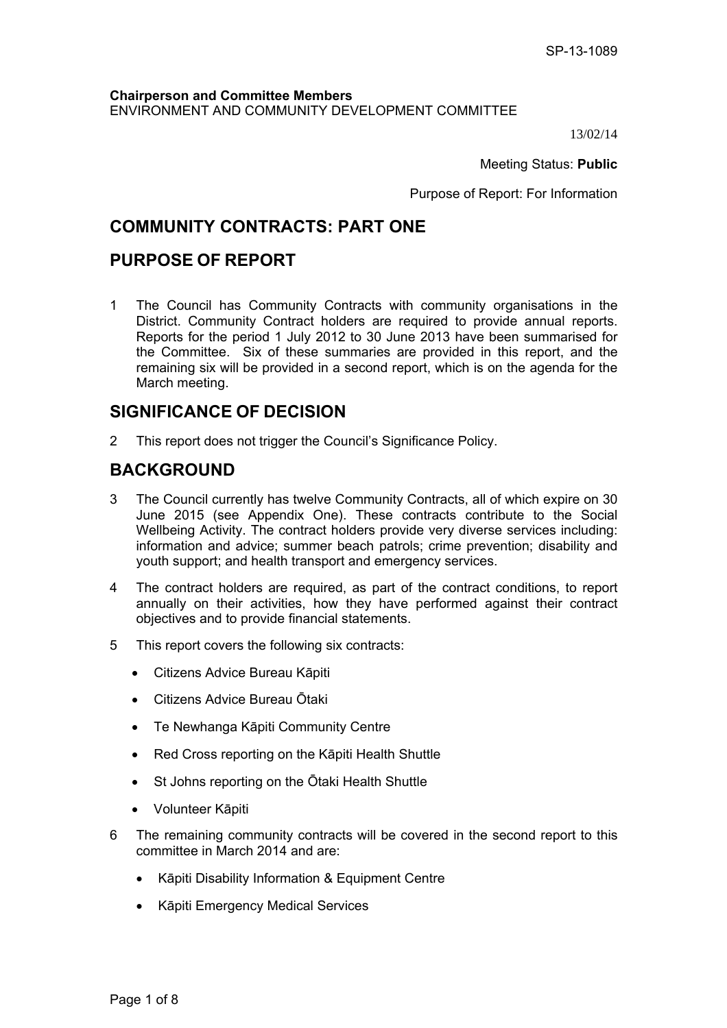## **Chairperson and Committee Members** ENVIRONMENT AND COMMUNITY DEVELOPMENT COMMITTEE

13/02/14

Meeting Status: **Public**

Purpose of Report: For Information

# **COMMUNITY CONTRACTS: PART ONE**

# **PURPOSE OF REPORT**

1 The Council has Community Contracts with community organisations in the District. Community Contract holders are required to provide annual reports. Reports for the period 1 July 2012 to 30 June 2013 have been summarised for the Committee. Six of these summaries are provided in this report, and the remaining six will be provided in a second report, which is on the agenda for the March meeting.

# **SIGNIFICANCE OF DECISION**

2 This report does not trigger the Council's Significance Policy.

# **BACKGROUND**

- 3 The Council currently has twelve Community Contracts, all of which expire on 30 June 2015 (see Appendix One). These contracts contribute to the Social Wellbeing Activity. The contract holders provide very diverse services including: information and advice; summer beach patrols; crime prevention; disability and youth support; and health transport and emergency services.
- 4 The contract holders are required, as part of the contract conditions, to report annually on their activities, how they have performed against their contract objectives and to provide financial statements.
- 5 This report covers the following six contracts:
	- Citizens Advice Bureau Kāpiti
	- Citizens Advice Bureau Ōtaki
	- Te Newhanga Kāpiti Community Centre
	- Red Cross reporting on the Kāpiti Health Shuttle
	- St Johns reporting on the Ōtaki Health Shuttle
	- Volunteer Kāpiti
- 6 The remaining community contracts will be covered in the second report to this committee in March 2014 and are:
	- Kāpiti Disability Information & Equipment Centre
	- Kāpiti Emergency Medical Services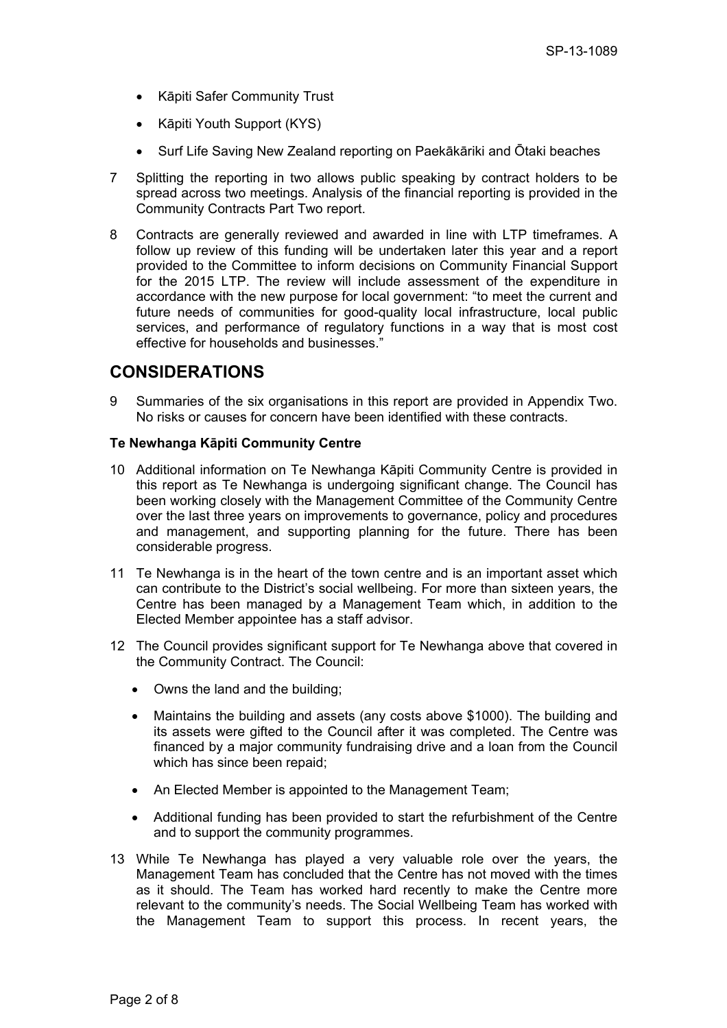- Kāpiti Safer Community Trust
- Kāpiti Youth Support (KYS)
- Surf Life Saving New Zealand reporting on Paekākāriki and Ōtaki beaches
- 7 Splitting the reporting in two allows public speaking by contract holders to be spread across two meetings. Analysis of the financial reporting is provided in the Community Contracts Part Two report.
- 8 Contracts are generally reviewed and awarded in line with LTP timeframes. A follow up review of this funding will be undertaken later this year and a report provided to the Committee to inform decisions on Community Financial Support for the 2015 LTP. The review will include assessment of the expenditure in accordance with the new purpose for local government: "to meet the current and future needs of communities for good-quality local infrastructure, local public services, and performance of regulatory functions in a way that is most cost effective for households and businesses."

# **CONSIDERATIONS**

9 Summaries of the six organisations in this report are provided in Appendix Two. No risks or causes for concern have been identified with these contracts.

### **Te Newhanga Kāpiti Community Centre**

- 10 Additional information on Te Newhanga Kāpiti Community Centre is provided in this report as Te Newhanga is undergoing significant change. The Council has been working closely with the Management Committee of the Community Centre over the last three years on improvements to governance, policy and procedures and management, and supporting planning for the future. There has been considerable progress.
- 11 Te Newhanga is in the heart of the town centre and is an important asset which can contribute to the District's social wellbeing. For more than sixteen years, the Centre has been managed by a Management Team which, in addition to the Elected Member appointee has a staff advisor.
- 12 The Council provides significant support for Te Newhanga above that covered in the Community Contract. The Council:
	- Owns the land and the building;
	- Maintains the building and assets (any costs above \$1000). The building and its assets were gifted to the Council after it was completed. The Centre was financed by a major community fundraising drive and a loan from the Council which has since been repaid;
	- An Elected Member is appointed to the Management Team;
	- Additional funding has been provided to start the refurbishment of the Centre and to support the community programmes.
- 13 While Te Newhanga has played a very valuable role over the years, the Management Team has concluded that the Centre has not moved with the times as it should. The Team has worked hard recently to make the Centre more relevant to the community's needs. The Social Wellbeing Team has worked with the Management Team to support this process. In recent years, the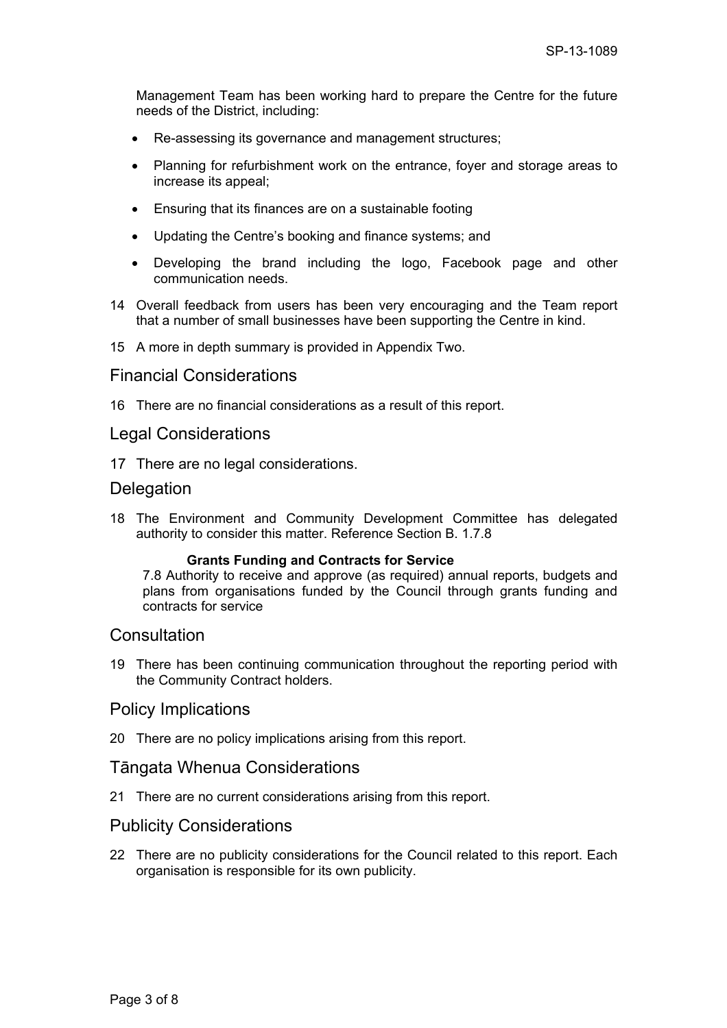Management Team has been working hard to prepare the Centre for the future needs of the District, including:

- Re-assessing its governance and management structures;
- Planning for refurbishment work on the entrance, foyer and storage areas to increase its appeal;
- Ensuring that its finances are on a sustainable footing
- Updating the Centre's booking and finance systems; and
- Developing the brand including the logo, Facebook page and other communication needs.
- 14 Overall feedback from users has been very encouraging and the Team report that a number of small businesses have been supporting the Centre in kind.

15 A more in depth summary is provided in Appendix Two.

## Financial Considerations

16 There are no financial considerations as a result of this report.

## Legal Considerations

17 There are no legal considerations.

## **Delegation**

18 The Environment and Community Development Committee has delegated authority to consider this matter. Reference Section B. 1.7.8

#### **Grants Funding and Contracts for Service**

7.8 Authority to receive and approve (as required) annual reports, budgets and plans from organisations funded by the Council through grants funding and contracts for service

## **Consultation**

19 There has been continuing communication throughout the reporting period with the Community Contract holders.

## Policy Implications

20 There are no policy implications arising from this report.

## Tāngata Whenua Considerations

21 There are no current considerations arising from this report.

# Publicity Considerations

22 There are no publicity considerations for the Council related to this report. Each organisation is responsible for its own publicity.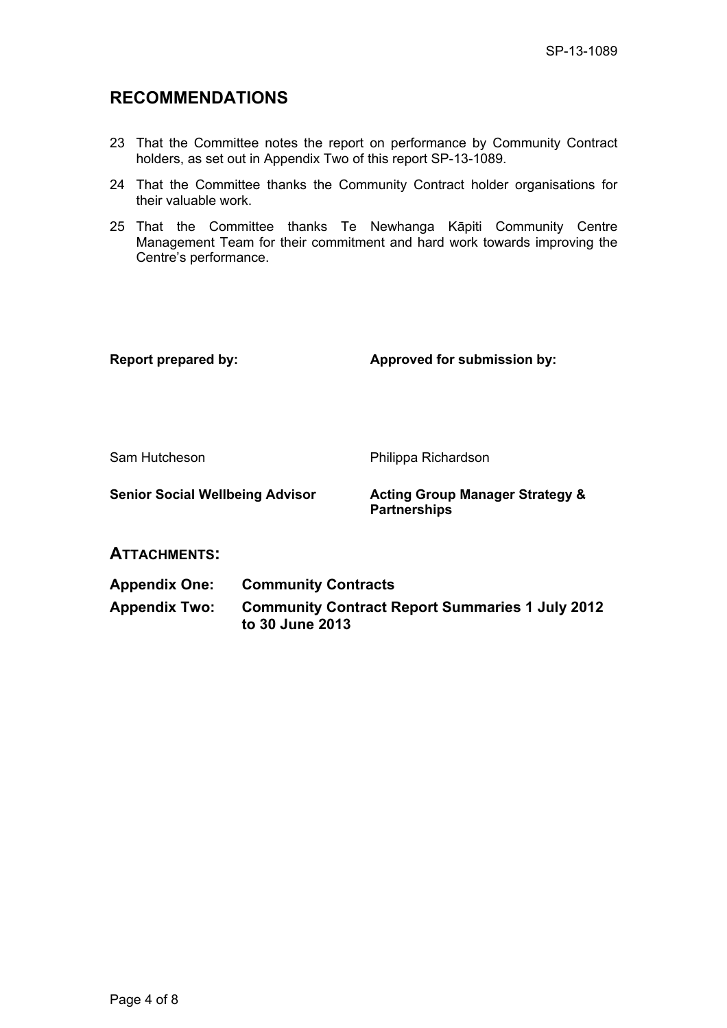# **RECOMMENDATIONS**

- 23 That the Committee notes the report on performance by Community Contract holders, as set out in Appendix Two of this report SP-13-1089.
- 24 That the Committee thanks the Community Contract holder organisations for their valuable work.
- 25 That the Committee thanks Te Newhanga Kāpiti Community Centre Management Team for their commitment and hard work towards improving the Centre's performance.

Report prepared by: **Approved for submission by:**  $\blacksquare$ 

Sam Hutcheson **Philippa Richardson** 

**Senior Social Wellbeing Advisor Acting Group Manager Strategy & Partnerships** 

# **ATTACHMENTS:**

**Appendix One: Community Contracts** 

**Appendix Two: Community Contract Report Summaries 1 July 2012 to 30 June 2013**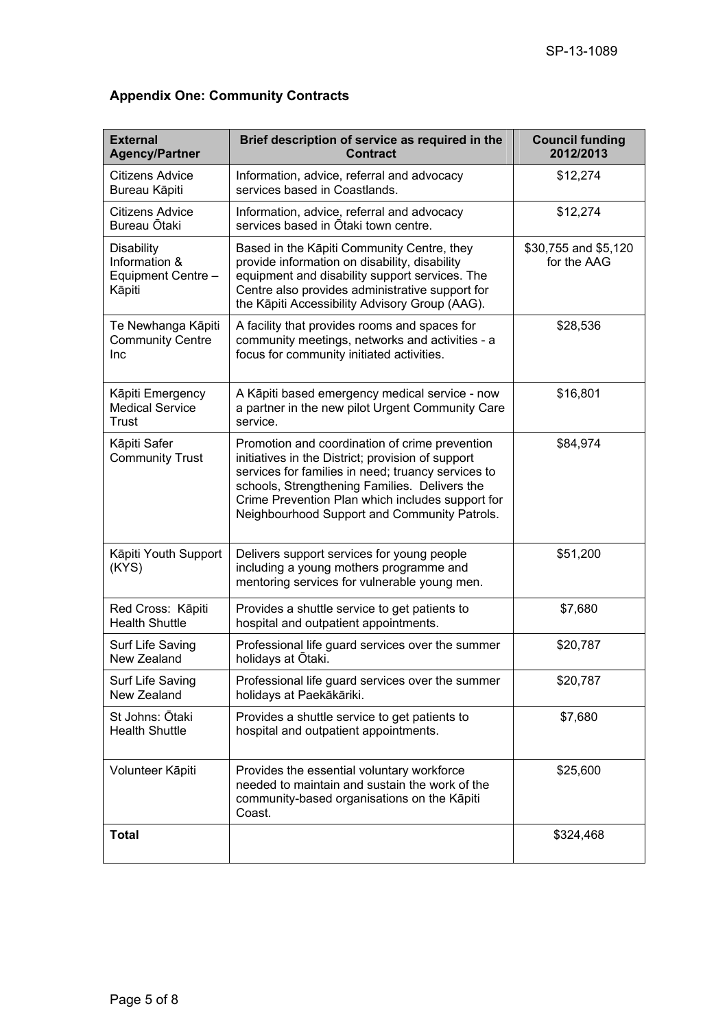| <b>External</b><br><b>Agency/Partner</b>                           | Brief description of service as required in the<br><b>Contract</b>                                                                                                                                                                                                                                             | <b>Council funding</b><br>2012/2013 |
|--------------------------------------------------------------------|----------------------------------------------------------------------------------------------------------------------------------------------------------------------------------------------------------------------------------------------------------------------------------------------------------------|-------------------------------------|
| Citizens Advice<br>Bureau Kāpiti                                   | Information, advice, referral and advocacy<br>services based in Coastlands.                                                                                                                                                                                                                                    | \$12,274                            |
| <b>Citizens Advice</b><br>Bureau Ōtaki                             | Information, advice, referral and advocacy<br>services based in Otaki town centre.                                                                                                                                                                                                                             | \$12,274                            |
| <b>Disability</b><br>Information &<br>Equipment Centre -<br>Kāpiti | Based in the Kāpiti Community Centre, they<br>provide information on disability, disability<br>equipment and disability support services. The<br>Centre also provides administrative support for<br>the Kāpiti Accessibility Advisory Group (AAG).                                                             | \$30,755 and \$5,120<br>for the AAG |
| Te Newhanga Kāpiti<br><b>Community Centre</b><br>Inc               | A facility that provides rooms and spaces for<br>community meetings, networks and activities - a<br>focus for community initiated activities.                                                                                                                                                                  | \$28,536                            |
| Kāpiti Emergency<br><b>Medical Service</b><br>Trust                | A Kāpiti based emergency medical service - now<br>a partner in the new pilot Urgent Community Care<br>service.                                                                                                                                                                                                 | \$16,801                            |
| Kāpiti Safer<br><b>Community Trust</b>                             | Promotion and coordination of crime prevention<br>initiatives in the District; provision of support<br>services for families in need; truancy services to<br>schools, Strengthening Families. Delivers the<br>Crime Prevention Plan which includes support for<br>Neighbourhood Support and Community Patrols. | \$84,974                            |
| Kāpiti Youth Support<br>(KYS)                                      | Delivers support services for young people<br>including a young mothers programme and<br>mentoring services for vulnerable young men.                                                                                                                                                                          | \$51,200                            |
| Red Cross: Kāpiti<br><b>Health Shuttle</b>                         | Provides a shuttle service to get patients to<br>hospital and outpatient appointments.                                                                                                                                                                                                                         | \$7,680                             |
| Surf Life Saving<br>New Zealand                                    | Professional life guard services over the summer<br>holidays at Ōtaki.                                                                                                                                                                                                                                         | \$20,787                            |
| Surf Life Saving<br>New Zealand                                    | Professional life guard services over the summer<br>holidays at Paekākāriki.                                                                                                                                                                                                                                   | \$20,787                            |
| St Johns: Ōtaki<br><b>Health Shuttle</b>                           | Provides a shuttle service to get patients to<br>hospital and outpatient appointments.                                                                                                                                                                                                                         | \$7,680                             |
| Volunteer Kāpiti                                                   | Provides the essential voluntary workforce<br>needed to maintain and sustain the work of the<br>community-based organisations on the Kāpiti<br>Coast.                                                                                                                                                          | \$25,600                            |
| <b>Total</b>                                                       |                                                                                                                                                                                                                                                                                                                | \$324,468                           |

# **Appendix One: Community Contracts**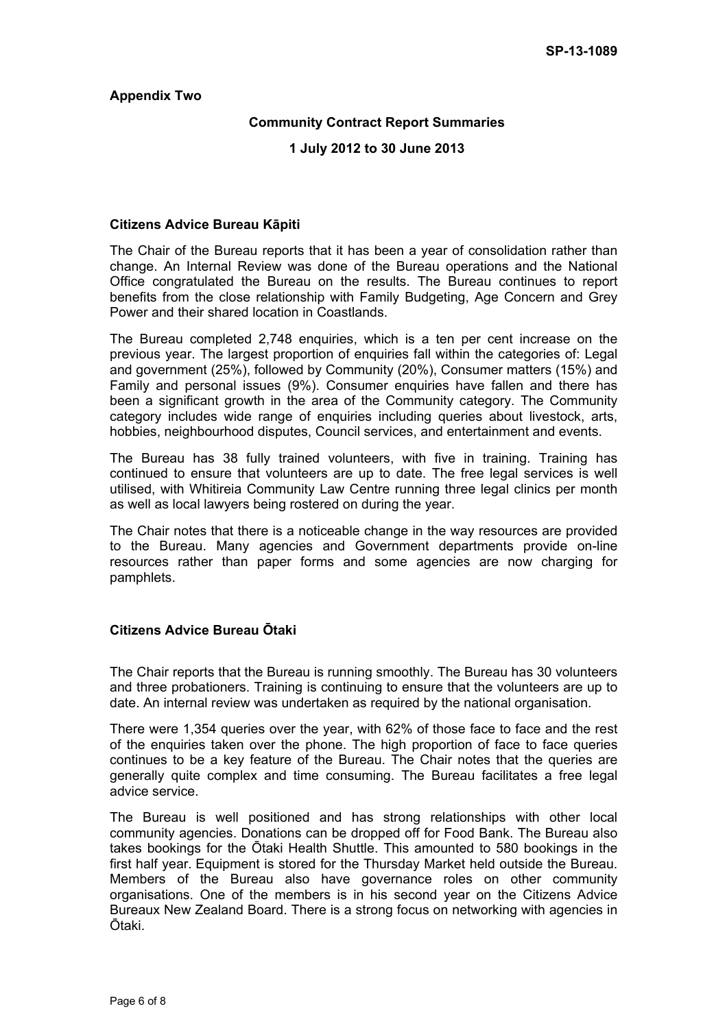### **Appendix Two**

### **Community Contract Report Summaries**

### **1 July 2012 to 30 June 2013**

### **Citizens Advice Bureau Kāpiti**

The Chair of the Bureau reports that it has been a year of consolidation rather than change. An Internal Review was done of the Bureau operations and the National Office congratulated the Bureau on the results. The Bureau continues to report benefits from the close relationship with Family Budgeting, Age Concern and Grey Power and their shared location in Coastlands.

The Bureau completed 2,748 enquiries, which is a ten per cent increase on the previous year. The largest proportion of enquiries fall within the categories of: Legal and government (25%), followed by Community (20%), Consumer matters (15%) and Family and personal issues (9%). Consumer enquiries have fallen and there has been a significant growth in the area of the Community category. The Community category includes wide range of enquiries including queries about livestock, arts, hobbies, neighbourhood disputes, Council services, and entertainment and events.

The Bureau has 38 fully trained volunteers, with five in training. Training has continued to ensure that volunteers are up to date. The free legal services is well utilised, with Whitireia Community Law Centre running three legal clinics per month as well as local lawyers being rostered on during the year.

The Chair notes that there is a noticeable change in the way resources are provided to the Bureau. Many agencies and Government departments provide on-line resources rather than paper forms and some agencies are now charging for pamphlets.

## **Citizens Advice Bureau Ōtaki**

The Chair reports that the Bureau is running smoothly. The Bureau has 30 volunteers and three probationers. Training is continuing to ensure that the volunteers are up to date. An internal review was undertaken as required by the national organisation.

There were 1,354 queries over the year, with 62% of those face to face and the rest of the enquiries taken over the phone. The high proportion of face to face queries continues to be a key feature of the Bureau. The Chair notes that the queries are generally quite complex and time consuming. The Bureau facilitates a free legal advice service.

The Bureau is well positioned and has strong relationships with other local community agencies. Donations can be dropped off for Food Bank. The Bureau also takes bookings for the Ōtaki Health Shuttle. This amounted to 580 bookings in the first half year. Equipment is stored for the Thursday Market held outside the Bureau. Members of the Bureau also have governance roles on other community organisations. One of the members is in his second year on the Citizens Advice Bureaux New Zealand Board. There is a strong focus on networking with agencies in Ōtaki.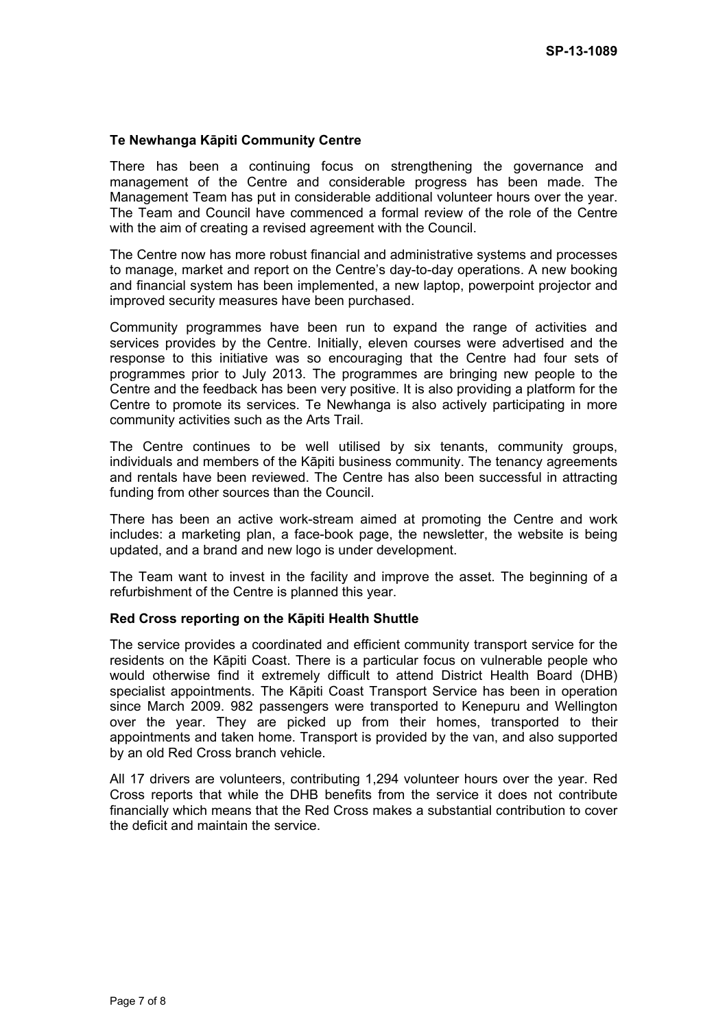### **Te Newhanga Kāpiti Community Centre**

There has been a continuing focus on strengthening the governance and management of the Centre and considerable progress has been made. The Management Team has put in considerable additional volunteer hours over the year. The Team and Council have commenced a formal review of the role of the Centre with the aim of creating a revised agreement with the Council.

The Centre now has more robust financial and administrative systems and processes to manage, market and report on the Centre's day-to-day operations. A new booking and financial system has been implemented, a new laptop, powerpoint projector and improved security measures have been purchased.

Community programmes have been run to expand the range of activities and services provides by the Centre. Initially, eleven courses were advertised and the response to this initiative was so encouraging that the Centre had four sets of programmes prior to July 2013. The programmes are bringing new people to the Centre and the feedback has been very positive. It is also providing a platform for the Centre to promote its services. Te Newhanga is also actively participating in more community activities such as the Arts Trail.

The Centre continues to be well utilised by six tenants, community groups, individuals and members of the Kāpiti business community. The tenancy agreements and rentals have been reviewed. The Centre has also been successful in attracting funding from other sources than the Council.

There has been an active work-stream aimed at promoting the Centre and work includes: a marketing plan, a face-book page, the newsletter, the website is being updated, and a brand and new logo is under development.

The Team want to invest in the facility and improve the asset. The beginning of a refurbishment of the Centre is planned this year.

#### **Red Cross reporting on the Kāpiti Health Shuttle**

The service provides a coordinated and efficient community transport service for the residents on the Kāpiti Coast. There is a particular focus on vulnerable people who would otherwise find it extremely difficult to attend District Health Board (DHB) specialist appointments. The Kāpiti Coast Transport Service has been in operation since March 2009. 982 passengers were transported to Kenepuru and Wellington over the year. They are picked up from their homes, transported to their appointments and taken home. Transport is provided by the van, and also supported by an old Red Cross branch vehicle.

All 17 drivers are volunteers, contributing 1,294 volunteer hours over the year. Red Cross reports that while the DHB benefits from the service it does not contribute financially which means that the Red Cross makes a substantial contribution to cover the deficit and maintain the service.